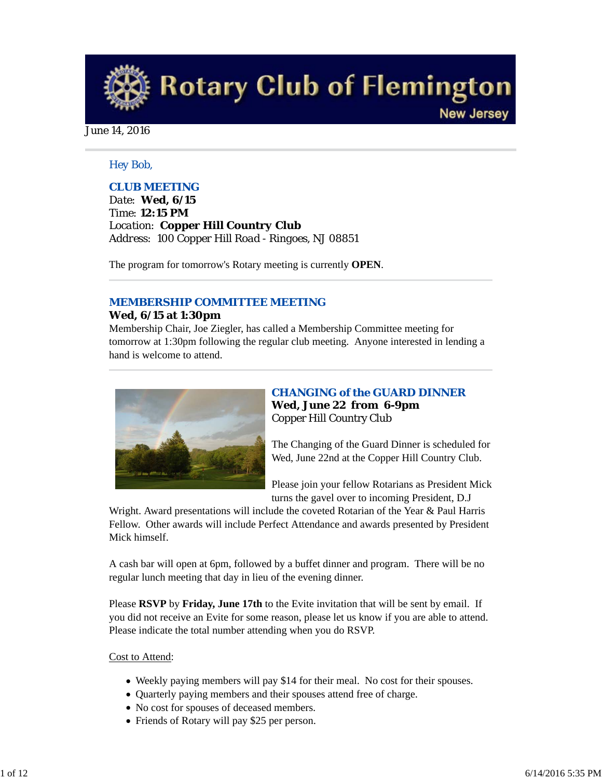**Rotary Club of Flemington New Jersey** 

June 14, 2016

# *Hey Bob,*

# *CLUB MEETING*

*Date: Wed, 6/15 Time: 12:15 PM Location: Copper Hill Country Club Address: 100 Copper Hill Road - Ringoes, NJ 08851*

The program for tomorrow's Rotary meeting is currently **OPEN**.

# *MEMBERSHIP COMMITTEE MEETING*

# **Wed, 6/15 at 1:30pm**

Membership Chair, Joe Ziegler, has called a Membership Committee meeting for tomorrow at 1:30pm following the regular club meeting. Anyone interested in lending a hand is welcome to attend.



# *CHANGING of the GUARD DINNER* **Wed, June 22 from 6-9pm** Copper Hill Country Club

The Changing of the Guard Dinner is scheduled for Wed, June 22nd at the Copper Hill Country Club.

Please join your fellow Rotarians as President Mick turns the gavel over to incoming President, D.J

Wright. Award presentations will include the coveted Rotarian of the Year & Paul Harris Fellow. Other awards will include Perfect Attendance and awards presented by President Mick himself.

A cash bar will open at 6pm, followed by a buffet dinner and program. There will be no regular lunch meeting that day in lieu of the evening dinner.

Please **RSVP** by **Friday, June 17th** to the Evite invitation that will be sent by email. If you did not receive an Evite for some reason, please let us know if you are able to attend. Please indicate the total number attending when you do RSVP.

## Cost to Attend:

- Weekly paying members will pay \$14 for their meal. No cost for their spouses.
- Quarterly paying members and their spouses attend free of charge.
- No cost for spouses of deceased members.
- Friends of Rotary will pay \$25 per person.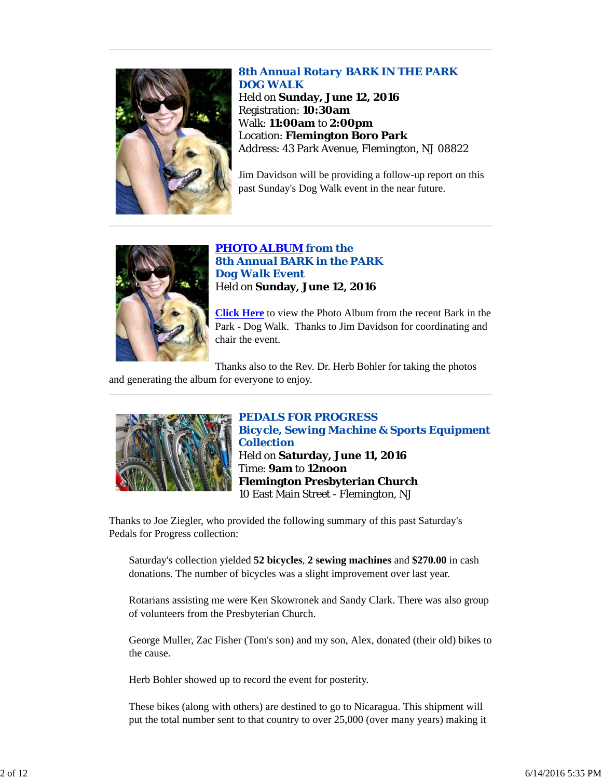

*8th Annual Rotary BARK IN THE PARK DOG WALK* Held on **Sunday, June 12, 2016** Registration: **10:30am** Walk: **11:00am** to **2:00pm** Location: **Flemington Boro Park** Address: 43 Park Avenue, Flemington, NJ 08822

Jim Davidson will be providing a follow-up report on this past Sunday's Dog Walk event in the near future.



*PHOTO ALBUM from the 8th Annual BARK in the PARK Dog Walk Event* Held on **Sunday, June 12, 2016**

**Click Here** to view the Photo Album from the recent Bark in the Park - Dog Walk. Thanks to Jim Davidson for coordinating and chair the event.

Thanks also to the Rev. Dr. Herb Bohler for taking the photos and generating the album for everyone to enjoy.



*PEDALS FOR PROGRESS Bicycle, Sewing Machine & Sports Equipment Collection* Held on **Saturday, June 11, 2016** Time: **9am** to **12noon Flemington Presbyterian Church** 10 East Main Street - Flemington, NJ

Thanks to Joe Ziegler, who provided the following summary of this past Saturday's Pedals for Progress collection:

Saturday's collection yielded **52 bicycles**, **2 sewing machines** and **\$270.00** in cash donations. The number of bicycles was a slight improvement over last year.

Rotarians assisting me were Ken Skowronek and Sandy Clark. There was also group of volunteers from the Presbyterian Church.

George Muller, Zac Fisher (Tom's son) and my son, Alex, donated (their old) bikes to the cause.

Herb Bohler showed up to record the event for posterity.

These bikes (along with others) are destined to go to Nicaragua. This shipment will put the total number sent to that country to over 25,000 (over many years) making it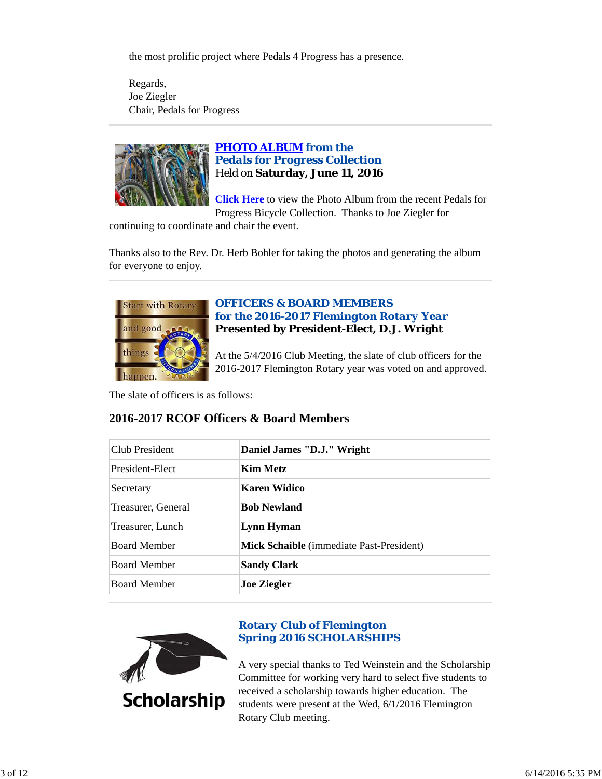the most prolific project where Pedals 4 Progress has a presence.

Regards, Joe Ziegler Chair, Pedals for Progress



# *PHOTO ALBUM from the Pedals for Progress Collection* Held on **Saturday, June 11, 2016**

**Click Here** to view the Photo Album from the recent Pedals for Progress Bicycle Collection. Thanks to Joe Ziegler for

continuing to coordinate and chair the event.

Thanks also to the Rev. Dr. Herb Bohler for taking the photos and generating the album for everyone to enjoy.



## *OFFICERS & BOARD MEMBERS for the 2016-2017 Flemington Rotary Year* **Presented by President-Elect, D.J. Wright**

At the 5/4/2016 Club Meeting, the slate of club officers for the 2016-2017 Flemington Rotary year was voted on and approved.

The slate of officers is as follows:

## **2016-2017 RCOF Officers & Board Members**

| Club President      | Daniel James "D.J." Wright                      |
|---------------------|-------------------------------------------------|
| President-Elect     | Kim Metz                                        |
| Secretary           | Karen Widico                                    |
| Treasurer, General  | <b>Bob Newland</b>                              |
| Treasurer, Lunch    | Lynn Hyman                                      |
| <b>Board Member</b> | <b>Mick Schaible</b> (immediate Past-President) |
| <b>Board Member</b> | <b>Sandy Clark</b>                              |
| <b>Board Member</b> | <b>Joe Ziegler</b>                              |



# *Rotary Club of Flemington Spring 2016 SCHOLARSHIPS*

A very special thanks to Ted Weinstein and the Scholarship Committee for working very hard to select five students to received a scholarship towards higher education. The students were present at the Wed, 6/1/2016 Flemington Rotary Club meeting.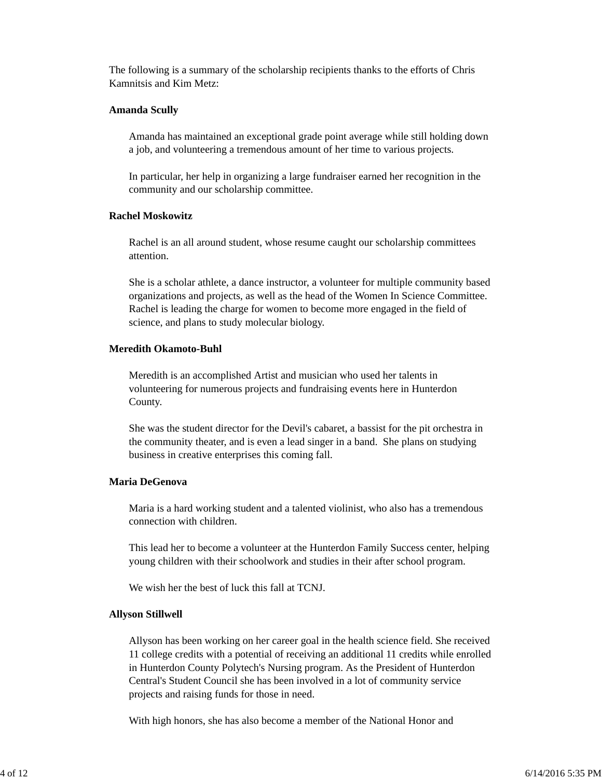The following is a summary of the scholarship recipients thanks to the efforts of Chris Kamnitsis and Kim Metz:

#### **Amanda Scully**

Amanda has maintained an exceptional grade point average while still holding down a job, and volunteering a tremendous amount of her time to various projects.

In particular, her help in organizing a large fundraiser earned her recognition in the community and our scholarship committee.

## **Rachel Moskowitz**

Rachel is an all around student, whose resume caught our scholarship committees attention.

She is a scholar athlete, a dance instructor, a volunteer for multiple community based organizations and projects, as well as the head of the Women In Science Committee. Rachel is leading the charge for women to become more engaged in the field of science, and plans to study molecular biology.

#### **Meredith Okamoto-Buhl**

Meredith is an accomplished Artist and musician who used her talents in volunteering for numerous projects and fundraising events here in Hunterdon County.

She was the student director for the Devil's cabaret, a bassist for the pit orchestra in the community theater, and is even a lead singer in a band. She plans on studying business in creative enterprises this coming fall.

## **Maria DeGenova**

Maria is a hard working student and a talented violinist, who also has a tremendous connection with children.

This lead her to become a volunteer at the Hunterdon Family Success center, helping young children with their schoolwork and studies in their after school program.

We wish her the best of luck this fall at TCNJ.

#### **Allyson Stillwell**

Allyson has been working on her career goal in the health science field. She received 11 college credits with a potential of receiving an additional 11 credits while enrolled in Hunterdon County Polytech's Nursing program. As the President of Hunterdon Central's Student Council she has been involved in a lot of community service projects and raising funds for those in need.

With high honors, she has also become a member of the National Honor and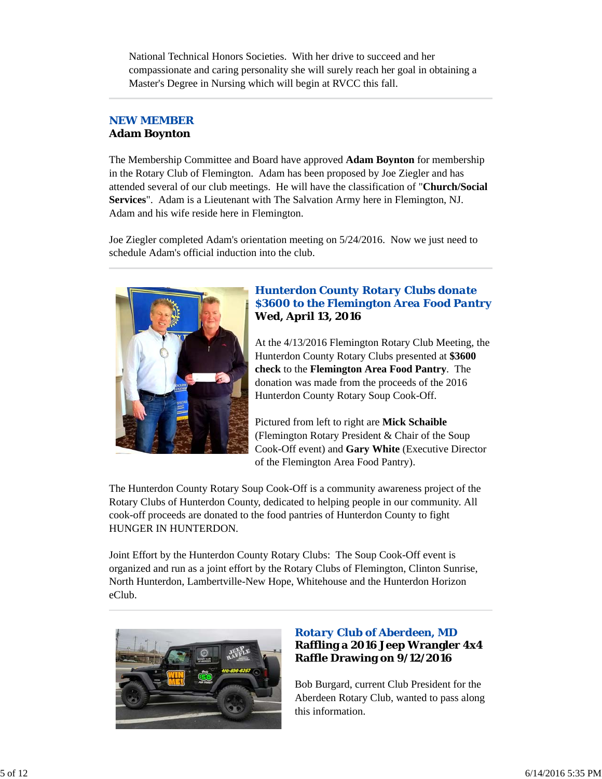National Technical Honors Societies. With her drive to succeed and her compassionate and caring personality she will surely reach her goal in obtaining a Master's Degree in Nursing which will begin at RVCC this fall.

## *NEW MEMBER* **Adam Boynton**

The Membership Committee and Board have approved **Adam Boynton** for membership in the Rotary Club of Flemington. Adam has been proposed by Joe Ziegler and has attended several of our club meetings. He will have the classification of "**Church/Social Services**". Adam is a Lieutenant with The Salvation Army here in Flemington, NJ. Adam and his wife reside here in Flemington.

Joe Ziegler completed Adam's orientation meeting on 5/24/2016. Now we just need to schedule Adam's official induction into the club.



## *Hunterdon County Rotary Clubs donate \$3600 to the Flemington Area Food Pantry* **Wed, April 13, 2016**

At the 4/13/2016 Flemington Rotary Club Meeting, the Hunterdon County Rotary Clubs presented at **\$3600 check** to the **Flemington Area Food Pantry**. The donation was made from the proceeds of the 2016 Hunterdon County Rotary Soup Cook-Off.

Pictured from left to right are **Mick Schaible** (Flemington Rotary President & Chair of the Soup Cook-Off event) and **Gary White** (Executive Director of the Flemington Area Food Pantry).

The Hunterdon County Rotary Soup Cook-Off is a community awareness project of the Rotary Clubs of Hunterdon County, dedicated to helping people in our community. All cook-off proceeds are donated to the food pantries of Hunterdon County to fight HUNGER IN HUNTERDON.

Joint Effort by the Hunterdon County Rotary Clubs: The Soup Cook-Off event is organized and run as a joint effort by the Rotary Clubs of Flemington, Clinton Sunrise, North Hunterdon, Lambertville-New Hope, Whitehouse and the Hunterdon Horizon eClub.



# *Rotary Club of Aberdeen, MD* **Raffling a 2016 Jeep Wrangler 4x4 Raffle Drawing on 9/12/2016**

Bob Burgard, current Club President for the Aberdeen Rotary Club, wanted to pass along this information.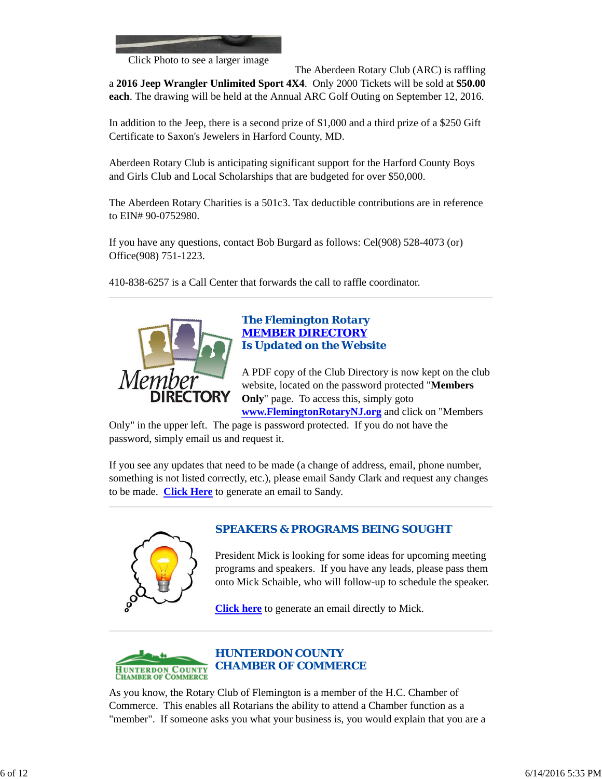

Click Photo to see a larger image

The Aberdeen Rotary Club (ARC) is raffling

a **2016 Jeep Wrangler Unlimited Sport 4X4**. Only 2000 Tickets will be sold at **\$50.00 each**. The drawing will be held at the Annual ARC Golf Outing on September 12, 2016.

In addition to the Jeep, there is a second prize of \$1,000 and a third prize of a \$250 Gift Certificate to Saxon's Jewelers in Harford County, MD.

Aberdeen Rotary Club is anticipating significant support for the Harford County Boys and Girls Club and Local Scholarships that are budgeted for over \$50,000.

The Aberdeen Rotary Charities is a 501c3. Tax deductible contributions are in reference to EIN# 90-0752980.

If you have any questions, contact Bob Burgard as follows: Cel(908) 528-4073 (or) Office(908) 751-1223.

410-838-6257 is a Call Center that forwards the call to raffle coordinator.



## *The Flemington Rotary MEMBER DIRECTORY Is Updated on the Website*

A PDF copy of the Club Directory is now kept on the club website, located on the password protected "**Members Only**" page. To access this, simply goto

**www.FlemingtonRotaryNJ.org** and click on "Members

Only" in the upper left. The page is password protected. If you do not have the password, simply email us and request it.

If you see any updates that need to be made (a change of address, email, phone number, something is not listed correctly, etc.), please email Sandy Clark and request any changes to be made. **Click Here** to generate an email to Sandy.



# *SPEAKERS & PROGRAMS BEING SOUGHT*

President Mick is looking for some ideas for upcoming meeting programs and speakers. If you have any leads, please pass them onto Mick Schaible, who will follow-up to schedule the speaker.

**Click here** to generate an email directly to Mick.



*HUNTERDON COUNTY CHAMBER OF COMMERCE*

As you know, the Rotary Club of Flemington is a member of the H.C. Chamber of Commerce. This enables all Rotarians the ability to attend a Chamber function as a "member". If someone asks you what your business is, you would explain that you are a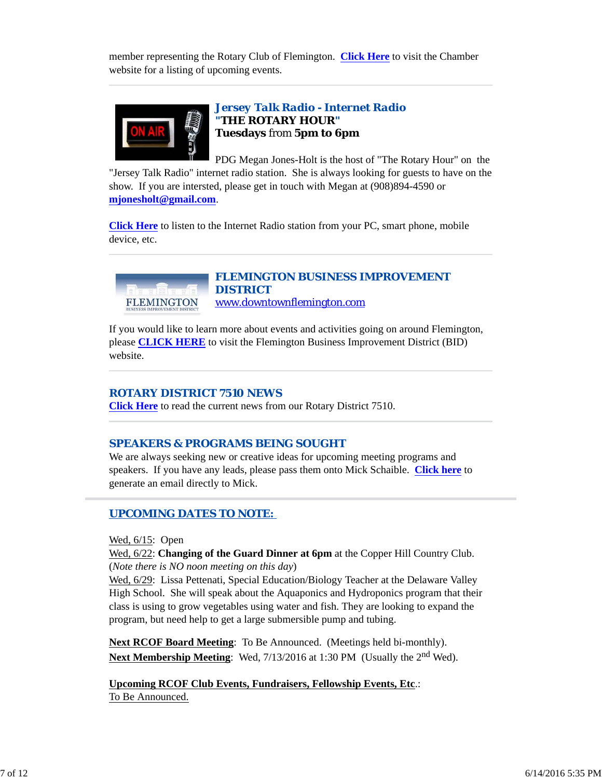member representing the Rotary Club of Flemington. **Click Here** to visit the Chamber website for a listing of upcoming events.



## *Jersey Talk Radio - Internet Radio "THE ROTARY HOUR"* **Tuesdays** from **5pm to 6pm**

PDG Megan Jones-Holt is the host of "The Rotary Hour" on the "Jersey Talk Radio" internet radio station. She is always looking for guests to have on the show. If you are intersted, please get in touch with Megan at (908)894-4590 or **mjonesholt@gmail.com**.

**Click Here** to listen to the Internet Radio station from your PC, smart phone, mobile device, etc.



*FLEMINGTON BUSINESS IMPROVEMENT DISTRICT* www.downtownflemington.com

If you would like to learn more about events and activities going on around Flemington, please **CLICK HERE** to visit the Flemington Business Improvement District (BID) website.

## *ROTARY DISTRICT 7510 NEWS*

**Click Here** to read the current news from our Rotary District 7510.

## *SPEAKERS & PROGRAMS BEING SOUGHT*

We are always seeking new or creative ideas for upcoming meeting programs and speakers. If you have any leads, please pass them onto Mick Schaible. **Click here** to generate an email directly to Mick.

## *UPCOMING DATES TO NOTE:*

Wed, 6/15: Open

Wed, 6/22: **Changing of the Guard Dinner at 6pm** at the Copper Hill Country Club. (*Note there is NO noon meeting on this day*)

Wed, 6/29: Lissa Pettenati, Special Education/Biology Teacher at the Delaware Valley High School. She will speak about the Aquaponics and Hydroponics program that their class is using to grow vegetables using water and fish. They are looking to expand the program, but need help to get a large submersible pump and tubing.

**Next RCOF Board Meeting**: To Be Announced. (Meetings held bi-monthly). **Next Membership Meeting:** Wed, 7/13/2016 at 1:30 PM (Usually the 2<sup>nd</sup> Wed).

**Upcoming RCOF Club Events, Fundraisers, Fellowship Events, Etc**.: To Be Announced.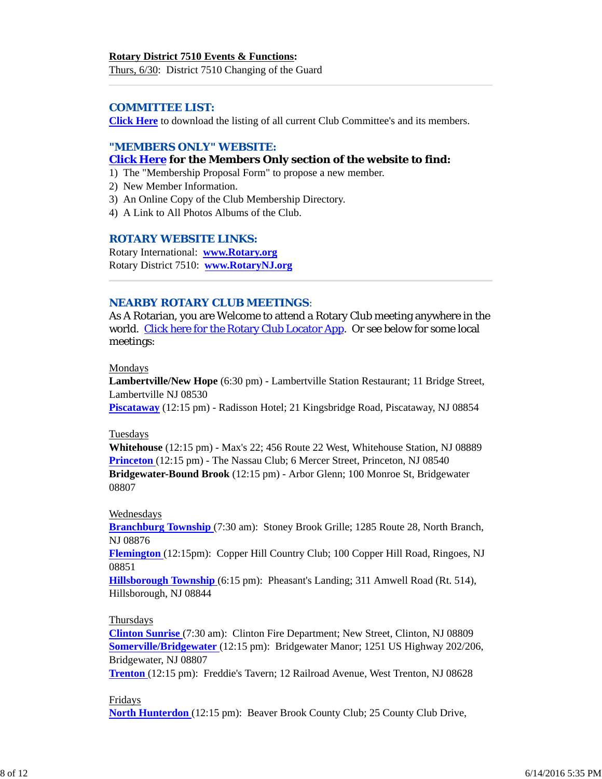# **Rotary District 7510 Events & Functions:**

Thurs, 6/30: District 7510 Changing of the Guard

## *COMMITTEE LIST:*

**Click Here** to download the listing of all current Club Committee's and its members.

## *"MEMBERS ONLY" WEBSITE:*

## **Click Here for the Members Only section of the website to find:**

- 1) The "Membership Proposal Form" to propose a new member.
- 2) New Member Information.
- 3) An Online Copy of the Club Membership Directory.
- 4) A Link to All Photos Albums of the Club.

## *ROTARY WEBSITE LINKS:*

Rotary International: **www.Rotary.org** Rotary District 7510: **www.RotaryNJ.org**

## *NEARBY ROTARY CLUB MEETINGS:*

As A Rotarian, you are Welcome to attend a Rotary Club meeting anywhere in the world. Click here for the Rotary Club Locator App. Or see below for some local meetings:

#### Mondays

**Lambertville/New Hope** (6:30 pm) - Lambertville Station Restaurant; 11 Bridge Street, Lambertville NJ 08530

**Piscataway** (12:15 pm) - Radisson Hotel; 21 Kingsbridge Road, Piscataway, NJ 08854

#### Tuesdays

**Whitehouse** (12:15 pm) - Max's 22; 456 Route 22 West, Whitehouse Station, NJ 08889 **Princeton** (12:15 pm) - The Nassau Club; 6 Mercer Street, Princeton, NJ 08540 **Bridgewater-Bound Brook** (12:15 pm) - Arbor Glenn; 100 Monroe St, Bridgewater 08807

#### Wednesdays

**Branchburg Township** (7:30 am): Stoney Brook Grille; 1285 Route 28, North Branch, NJ 08876

**Flemington** (12:15pm): Copper Hill Country Club; 100 Copper Hill Road, Ringoes, NJ 08851

**Hillsborough Township** (6:15 pm): Pheasant's Landing; 311 Amwell Road (Rt. 514), Hillsborough, NJ 08844

## Thursdays

**Clinton Sunrise** (7:30 am): Clinton Fire Department; New Street, Clinton, NJ 08809 **Somerville/Bridgewater** (12:15 pm): Bridgewater Manor; 1251 US Highway 202/206, Bridgewater, NJ 08807

**Trenton** (12:15 pm): Freddie's Tavern; 12 Railroad Avenue, West Trenton, NJ 08628

#### Fridays

**North Hunterdon** (12:15 pm): Beaver Brook County Club; 25 County Club Drive,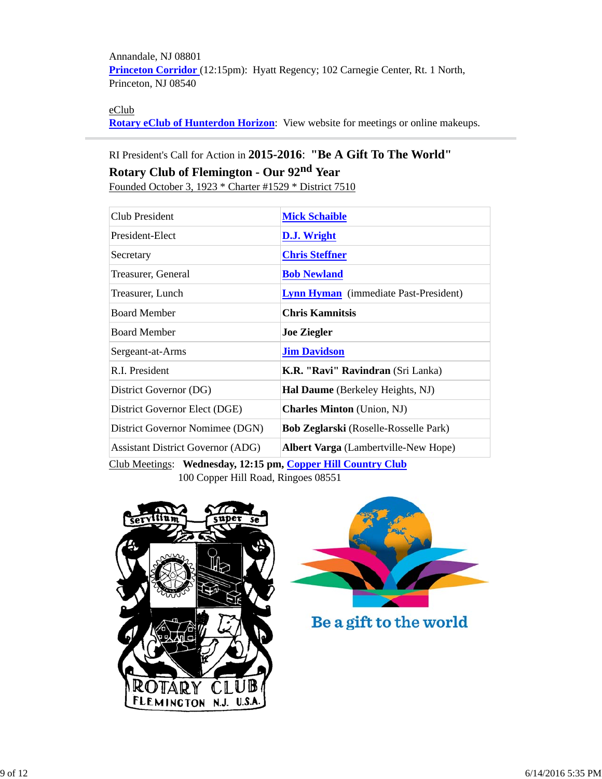Annandale, NJ 08801 **Princeton Corridor** (12:15pm): Hyatt Regency; 102 Carnegie Center, Rt. 1 North, Princeton, NJ 08540

## eClub

**Rotary eClub of Hunterdon Horizon**: View website for meetings or online makeups.

# RI President's Call for Action in **2015-2016**: **"Be A Gift To The World" Rotary Club of Flemington - Our 92nd Year**

Founded October 3, 1923 \* Charter #1529 \* District 7510

| Club President                                               | <b>Mick Schaible</b>                         |  |  |  |
|--------------------------------------------------------------|----------------------------------------------|--|--|--|
| President-Elect                                              | D.J. Wright                                  |  |  |  |
| Secretary                                                    | <b>Chris Steffner</b>                        |  |  |  |
| Treasurer, General                                           | <b>Bob Newland</b>                           |  |  |  |
| Treasurer, Lunch                                             | <b>Lynn Hyman</b> (immediate Past-President) |  |  |  |
| <b>Board Member</b>                                          | <b>Chris Kamnitsis</b>                       |  |  |  |
| <b>Board Member</b>                                          | <b>Joe Ziegler</b>                           |  |  |  |
| Sergeant-at-Arms                                             | <b>Jim Davidson</b>                          |  |  |  |
| R.I. President                                               | K.R. "Ravi" Ravindran (Sri Lanka)            |  |  |  |
| District Governor (DG)                                       | Hal Daume (Berkeley Heights, NJ)             |  |  |  |
| District Governor Elect (DGE)                                | <b>Charles Minton</b> (Union, NJ)            |  |  |  |
| District Governor Nomimee (DGN)                              | <b>Bob Zeglarski</b> (Roselle-Rosselle Park) |  |  |  |
| <b>Assistant District Governor (ADG)</b>                     | <b>Albert Varga</b> (Lambertville-New Hope)  |  |  |  |
| Club Meetings: Wednesday, 12:15 pm, Copper Hill Country Club |                                              |  |  |  |

100 Copper Hill Road, Ringoes 08551





Be a gift to the world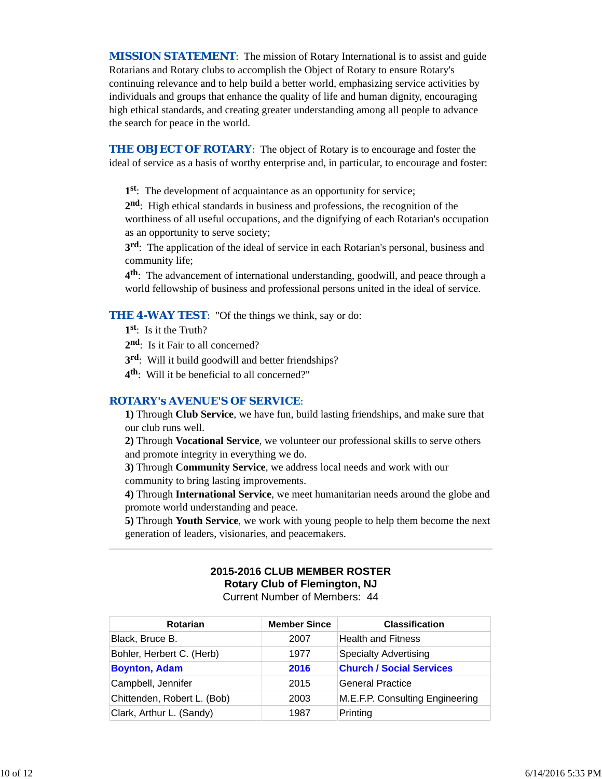*MISSION STATEMENT*: The mission of Rotary International is to assist and guide Rotarians and Rotary clubs to accomplish the Object of Rotary to ensure Rotary's continuing relevance and to help build a better world, emphasizing service activities by individuals and groups that enhance the quality of life and human dignity, encouraging high ethical standards, and creating greater understanding among all people to advance the search for peace in the world.

**THE OBJECT OF ROTARY:** The object of Rotary is to encourage and foster the ideal of service as a basis of worthy enterprise and, in particular, to encourage and foster:

**1st**: The development of acquaintance as an opportunity for service;

**2nd**: High ethical standards in business and professions, the recognition of the worthiness of all useful occupations, and the dignifying of each Rotarian's occupation as an opportunity to serve society;

**3rd**: The application of the ideal of service in each Rotarian's personal, business and community life;

**4th**: The advancement of international understanding, goodwill, and peace through a world fellowship of business and professional persons united in the ideal of service.

**THE 4-WAY TEST:** "Of the things we think, say or do:

**1st**: Is it the Truth?

2<sup>nd</sup>: Is it Fair to all concerned?

**3rd**: Will it build goodwill and better friendships?

**4th**: Will it be beneficial to all concerned?"

#### *ROTARY's AVENUE'S OF SERVICE*:

**1)** Through **Club Service**, we have fun, build lasting friendships, and make sure that our club runs well.

**2)** Through **Vocational Service**, we volunteer our professional skills to serve others and promote integrity in everything we do.

**3)** Through **Community Service**, we address local needs and work with our community to bring lasting improvements.

**4)** Through **International Service**, we meet humanitarian needs around the globe and promote world understanding and peace.

**5)** Through **Youth Service**, we work with young people to help them become the next generation of leaders, visionaries, and peacemakers.

#### **2015-2016 CLUB MEMBER ROSTER Rotary Club of Flemington, NJ** Current Number of Members: 44

| <b>Rotarian</b>             | <b>Member Since</b> | <b>Classification</b>           |
|-----------------------------|---------------------|---------------------------------|
| Black, Bruce B.             | 2007                | <b>Health and Fitness</b>       |
| Bohler, Herbert C. (Herb)   | 1977                | <b>Specialty Advertising</b>    |
| <b>Boynton, Adam</b>        | 2016                | <b>Church / Social Services</b> |
| Campbell, Jennifer          | 2015                | <b>General Practice</b>         |
| Chittenden, Robert L. (Bob) | 2003                | M.E.F.P. Consulting Engineering |
| Clark, Arthur L. (Sandy)    | 1987                | Printing                        |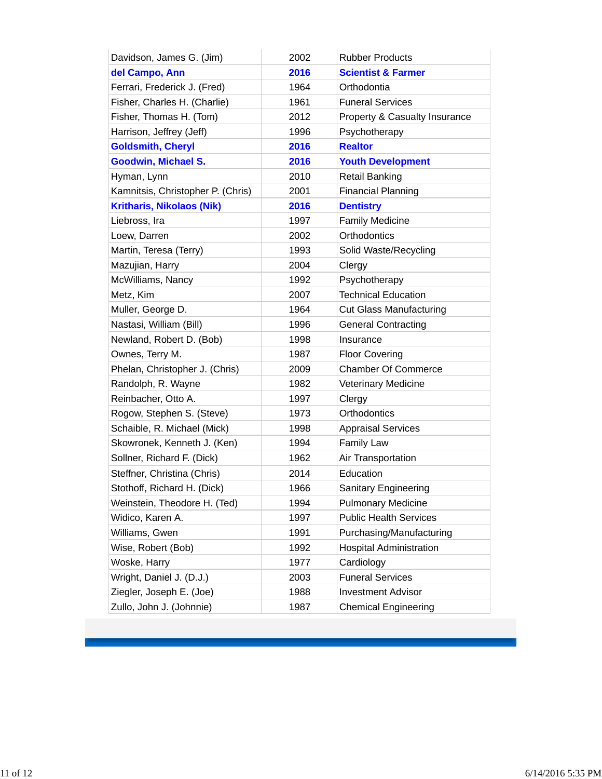| Davidson, James G. (Jim)          | 2002 | <b>Rubber Products</b>         |
|-----------------------------------|------|--------------------------------|
| del Campo, Ann                    | 2016 | <b>Scientist &amp; Farmer</b>  |
| Ferrari, Frederick J. (Fred)      | 1964 | Orthodontia                    |
| Fisher, Charles H. (Charlie)      | 1961 | <b>Funeral Services</b>        |
| Fisher, Thomas H. (Tom)           | 2012 | Property & Casualty Insurance  |
| Harrison, Jeffrey (Jeff)          | 1996 | Psychotherapy                  |
| <b>Goldsmith, Cheryl</b>          | 2016 | <b>Realtor</b>                 |
| <b>Goodwin, Michael S.</b>        | 2016 | <b>Youth Development</b>       |
| Hyman, Lynn                       | 2010 | <b>Retail Banking</b>          |
| Kamnitsis, Christopher P. (Chris) | 2001 | <b>Financial Planning</b>      |
| <b>Kritharis, Nikolaos (Nik)</b>  | 2016 | <b>Dentistry</b>               |
| Liebross, Ira                     | 1997 | <b>Family Medicine</b>         |
| Loew, Darren                      | 2002 | Orthodontics                   |
| Martin, Teresa (Terry)            | 1993 | Solid Waste/Recycling          |
| Mazujian, Harry                   | 2004 | Clergy                         |
| McWilliams, Nancy                 | 1992 | Psychotherapy                  |
| Metz, Kim                         | 2007 | <b>Technical Education</b>     |
| Muller, George D.                 | 1964 | <b>Cut Glass Manufacturing</b> |
| Nastasi, William (Bill)           | 1996 | <b>General Contracting</b>     |
| Newland, Robert D. (Bob)          | 1998 | Insurance                      |
| Ownes, Terry M.                   | 1987 | <b>Floor Covering</b>          |
| Phelan, Christopher J. (Chris)    | 2009 | <b>Chamber Of Commerce</b>     |
| Randolph, R. Wayne                | 1982 | <b>Veterinary Medicine</b>     |
| Reinbacher, Otto A.               | 1997 | Clergy                         |
| Rogow, Stephen S. (Steve)         | 1973 | Orthodontics                   |
| Schaible, R. Michael (Mick)       | 1998 | <b>Appraisal Services</b>      |
| Skowronek, Kenneth J. (Ken)       | 1994 | <b>Family Law</b>              |
| Sollner, Richard F. (Dick)        | 1962 | Air Transportation             |
| Steffner, Christina (Chris)       | 2014 | Education                      |
| Stothoff, Richard H. (Dick)       | 1966 | Sanitary Engineering           |
| Weinstein, Theodore H. (Ted)      | 1994 | <b>Pulmonary Medicine</b>      |
| Widico, Karen A.                  | 1997 | <b>Public Health Services</b>  |
| Williams, Gwen                    | 1991 | Purchasing/Manufacturing       |
| Wise, Robert (Bob)                | 1992 | <b>Hospital Administration</b> |
| Woske, Harry                      | 1977 | Cardiology                     |
| Wright, Daniel J. (D.J.)          | 2003 | <b>Funeral Services</b>        |
| Ziegler, Joseph E. (Joe)          | 1988 | <b>Investment Advisor</b>      |
| Zullo, John J. (Johnnie)          | 1987 | <b>Chemical Engineering</b>    |